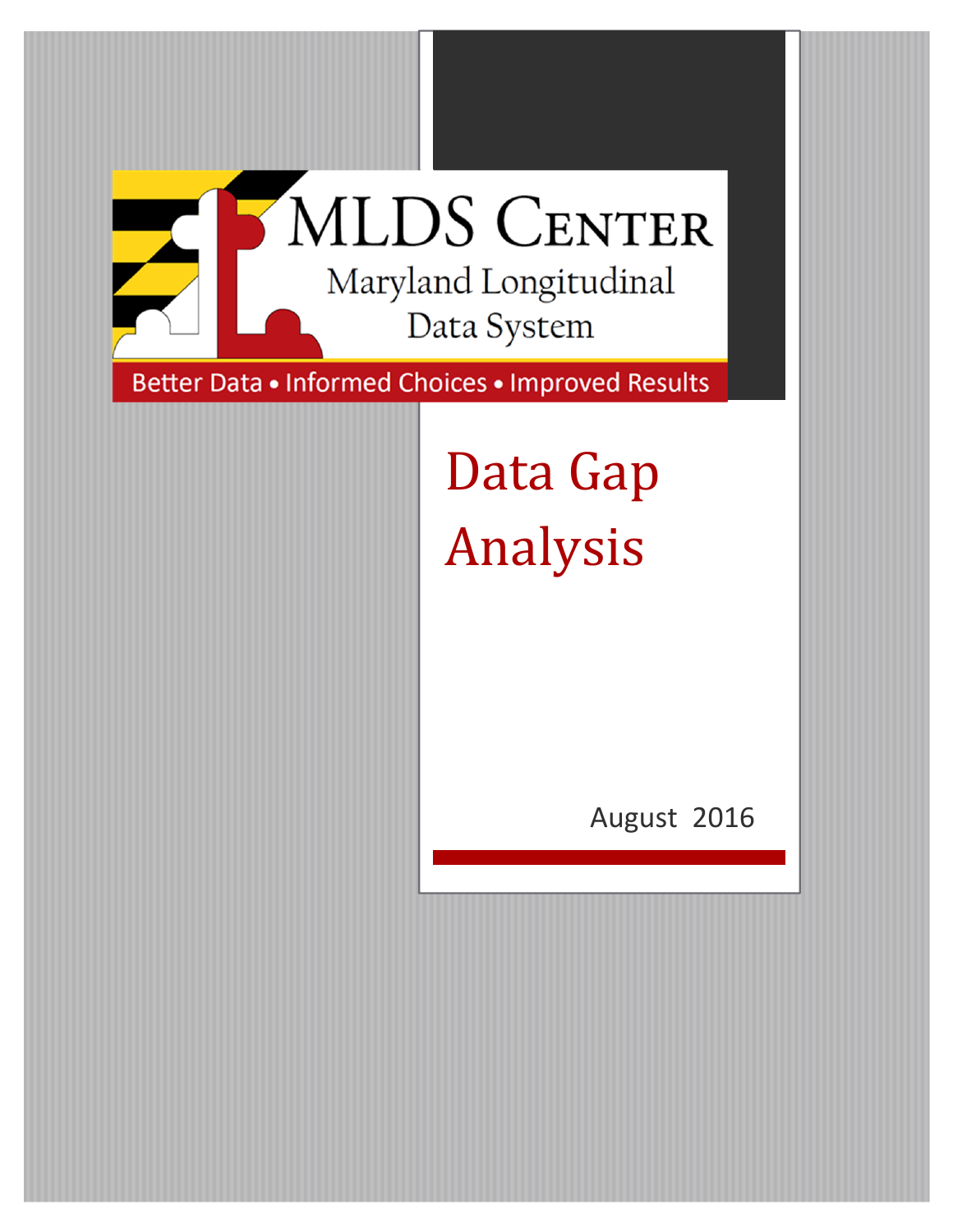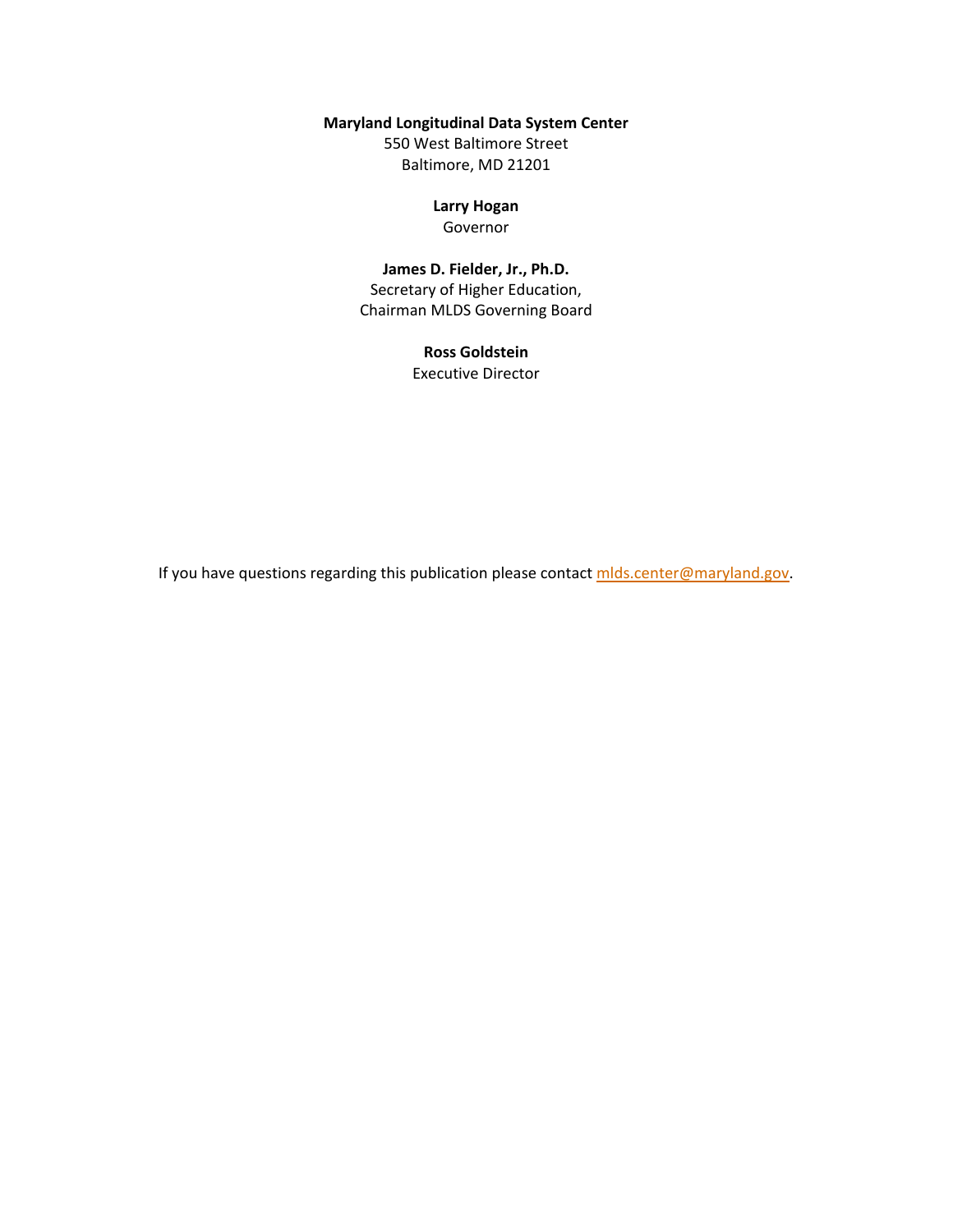#### **Maryland Longitudinal Data System Center**

550 West Baltimore Street Baltimore, MD 21201

### **Larry Hogan**

Governor

### **James D. Fielder, Jr., Ph.D.**

Secretary of Higher Education, Chairman MLDS Governing Board

#### **Ross Goldstein** Executive Director

If you have questions regarding this publication please contact mlds.center@maryland.gov.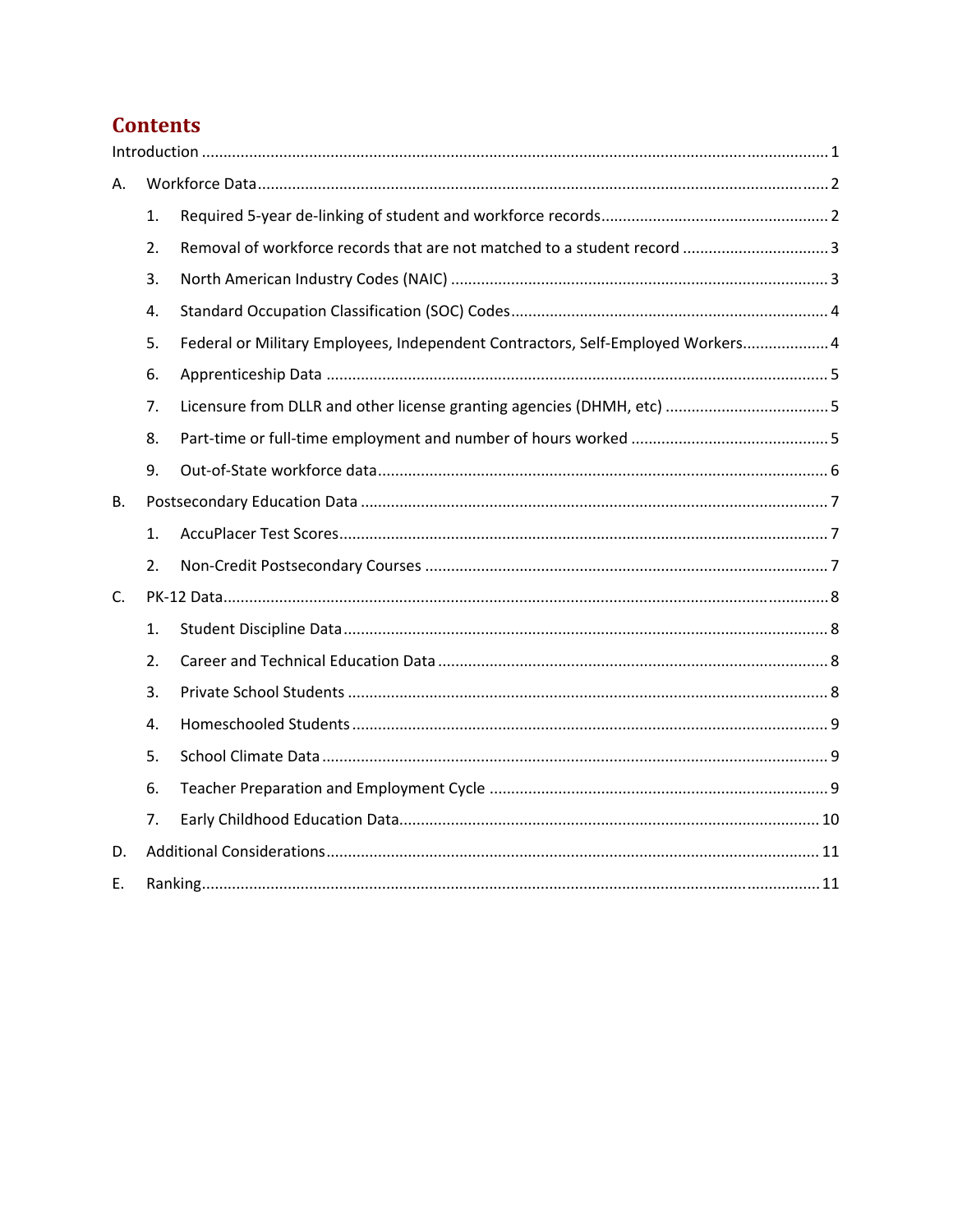# **Contents**

| А.        |    |                                                                                 |  |
|-----------|----|---------------------------------------------------------------------------------|--|
|           | 1. |                                                                                 |  |
|           | 2. |                                                                                 |  |
|           | 3. |                                                                                 |  |
|           | 4. |                                                                                 |  |
|           | 5. | Federal or Military Employees, Independent Contractors, Self-Employed Workers 4 |  |
|           | 6. |                                                                                 |  |
|           | 7. | Licensure from DLLR and other license granting agencies (DHMH, etc) 5           |  |
|           | 8. |                                                                                 |  |
|           | 9. |                                                                                 |  |
| <b>B.</b> |    |                                                                                 |  |
|           | 1. |                                                                                 |  |
|           | 2. |                                                                                 |  |
| C.        |    |                                                                                 |  |
|           | 1. |                                                                                 |  |
|           | 2. |                                                                                 |  |
|           | 3. |                                                                                 |  |
|           | 4. |                                                                                 |  |
|           | 5. |                                                                                 |  |
|           | 6. |                                                                                 |  |
|           | 7. |                                                                                 |  |
| D.        |    |                                                                                 |  |
| Ε.        |    |                                                                                 |  |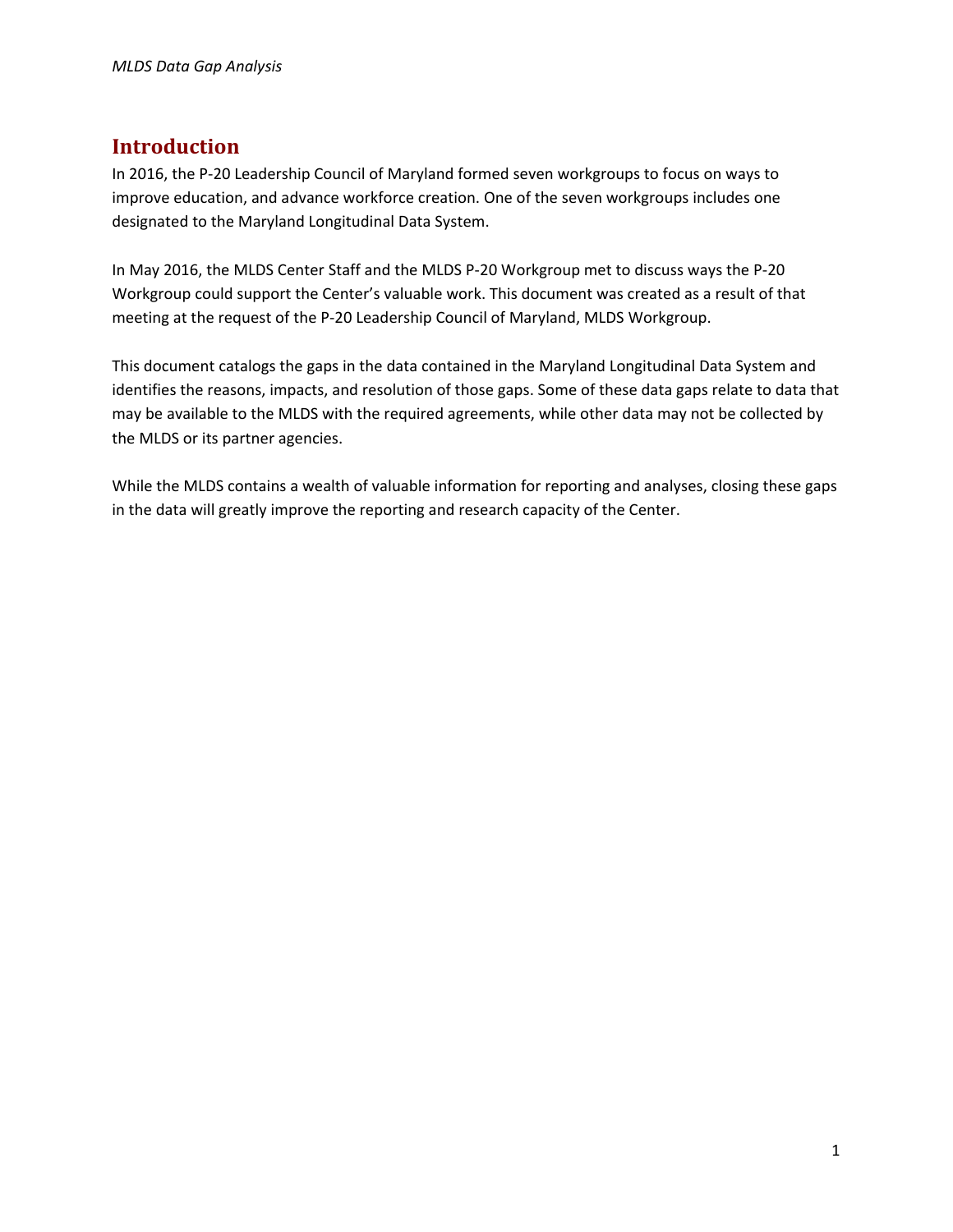## **Introduction**

In 2016, the P-20 Leadership Council of Maryland formed seven workgroups to focus on ways to improve education, and advance workforce creation. One of the seven workgroups includes one designated to the Maryland Longitudinal Data System.

In May 2016, the MLDS Center Staff and the MLDS P‐20 Workgroup met to discuss ways the P‐20 Workgroup could support the Center's valuable work. This document was created as a result of that meeting at the request of the P‐20 Leadership Council of Maryland, MLDS Workgroup.

This document catalogs the gaps in the data contained in the Maryland Longitudinal Data System and identifies the reasons, impacts, and resolution of those gaps. Some of these data gaps relate to data that may be available to the MLDS with the required agreements, while other data may not be collected by the MLDS or its partner agencies.

While the MLDS contains a wealth of valuable information for reporting and analyses, closing these gaps in the data will greatly improve the reporting and research capacity of the Center.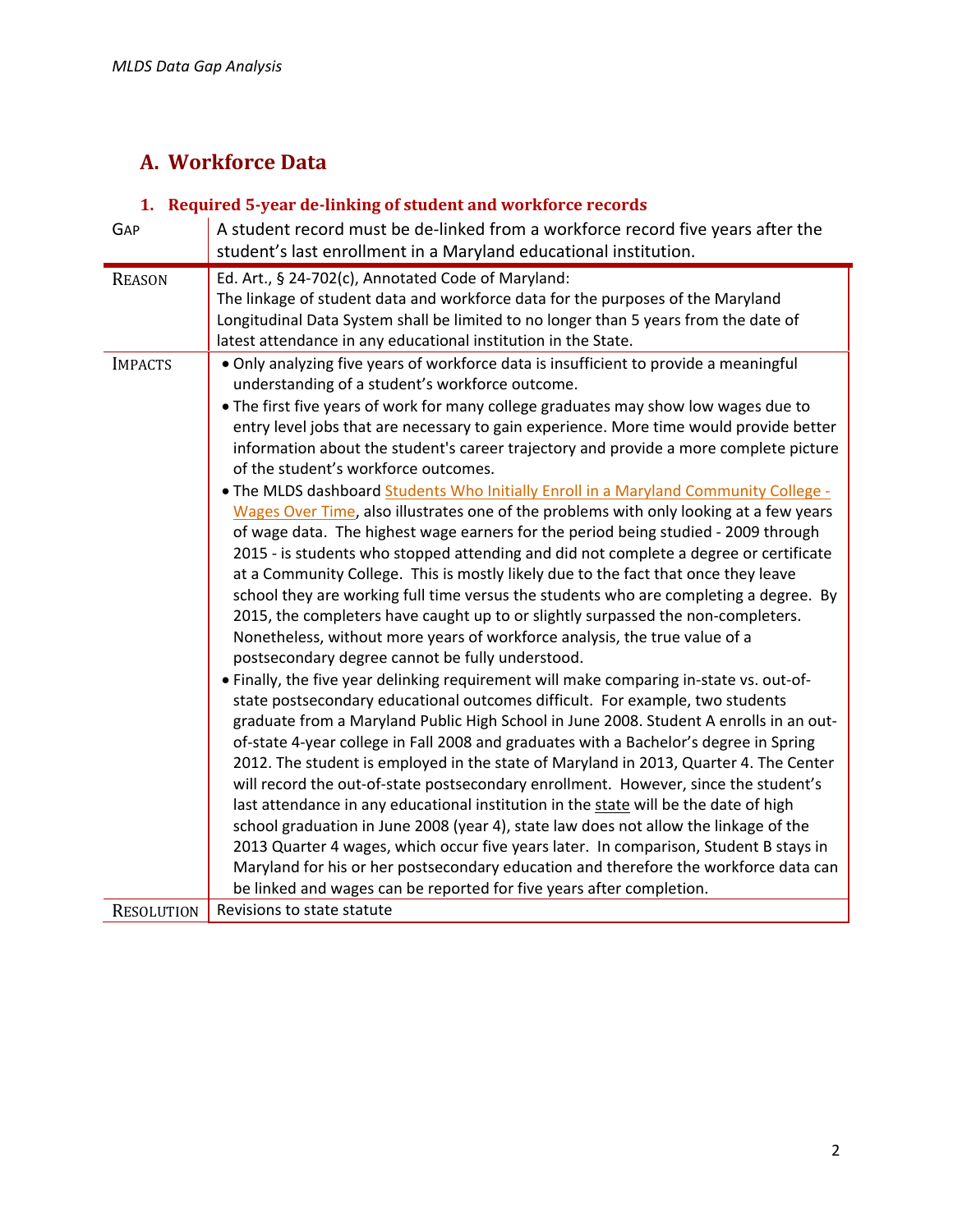# **A. Workforce Data**

## **1. Required 5‐year de‐linking of student and workforce records**

| GAP               | A student record must be de-linked from a workforce record five years after the                                                                                                                                                                                                                                                                                                                                                                                                                                                                                                                                                                                                                                                                                                                                                                                                                                                                                                                                                                                                                                                                                                                                                                                                                                                                                                                                                                                                                                                                                                                                                                                                                                                                                                                                                                                                                                                                                 |
|-------------------|-----------------------------------------------------------------------------------------------------------------------------------------------------------------------------------------------------------------------------------------------------------------------------------------------------------------------------------------------------------------------------------------------------------------------------------------------------------------------------------------------------------------------------------------------------------------------------------------------------------------------------------------------------------------------------------------------------------------------------------------------------------------------------------------------------------------------------------------------------------------------------------------------------------------------------------------------------------------------------------------------------------------------------------------------------------------------------------------------------------------------------------------------------------------------------------------------------------------------------------------------------------------------------------------------------------------------------------------------------------------------------------------------------------------------------------------------------------------------------------------------------------------------------------------------------------------------------------------------------------------------------------------------------------------------------------------------------------------------------------------------------------------------------------------------------------------------------------------------------------------------------------------------------------------------------------------------------------------|
|                   | student's last enrollment in a Maryland educational institution.                                                                                                                                                                                                                                                                                                                                                                                                                                                                                                                                                                                                                                                                                                                                                                                                                                                                                                                                                                                                                                                                                                                                                                                                                                                                                                                                                                                                                                                                                                                                                                                                                                                                                                                                                                                                                                                                                                |
| <b>REASON</b>     | Ed. Art., § 24-702(c), Annotated Code of Maryland:<br>The linkage of student data and workforce data for the purposes of the Maryland<br>Longitudinal Data System shall be limited to no longer than 5 years from the date of<br>latest attendance in any educational institution in the State.                                                                                                                                                                                                                                                                                                                                                                                                                                                                                                                                                                                                                                                                                                                                                                                                                                                                                                                                                                                                                                                                                                                                                                                                                                                                                                                                                                                                                                                                                                                                                                                                                                                                 |
| <b>IMPACTS</b>    | . Only analyzing five years of workforce data is insufficient to provide a meaningful<br>understanding of a student's workforce outcome.<br>• The first five years of work for many college graduates may show low wages due to<br>entry level jobs that are necessary to gain experience. More time would provide better<br>information about the student's career trajectory and provide a more complete picture<br>of the student's workforce outcomes.<br>. The MLDS dashboard Students Who Initially Enroll in a Maryland Community College -<br>Wages Over Time, also illustrates one of the problems with only looking at a few years<br>of wage data. The highest wage earners for the period being studied - 2009 through<br>2015 - is students who stopped attending and did not complete a degree or certificate<br>at a Community College. This is mostly likely due to the fact that once they leave<br>school they are working full time versus the students who are completing a degree. By<br>2015, the completers have caught up to or slightly surpassed the non-completers.<br>Nonetheless, without more years of workforce analysis, the true value of a<br>postsecondary degree cannot be fully understood.<br>• Finally, the five year delinking requirement will make comparing in-state vs. out-of-<br>state postsecondary educational outcomes difficult. For example, two students<br>graduate from a Maryland Public High School in June 2008. Student A enrolls in an out-<br>of-state 4-year college in Fall 2008 and graduates with a Bachelor's degree in Spring<br>2012. The student is employed in the state of Maryland in 2013, Quarter 4. The Center<br>will record the out-of-state postsecondary enrollment. However, since the student's<br>last attendance in any educational institution in the state will be the date of high<br>school graduation in June 2008 (year 4), state law does not allow the linkage of the |
|                   | 2013 Quarter 4 wages, which occur five years later. In comparison, Student B stays in<br>Maryland for his or her postsecondary education and therefore the workforce data can<br>be linked and wages can be reported for five years after completion.<br>Revisions to state statute                                                                                                                                                                                                                                                                                                                                                                                                                                                                                                                                                                                                                                                                                                                                                                                                                                                                                                                                                                                                                                                                                                                                                                                                                                                                                                                                                                                                                                                                                                                                                                                                                                                                             |
| <b>RESOLUTION</b> |                                                                                                                                                                                                                                                                                                                                                                                                                                                                                                                                                                                                                                                                                                                                                                                                                                                                                                                                                                                                                                                                                                                                                                                                                                                                                                                                                                                                                                                                                                                                                                                                                                                                                                                                                                                                                                                                                                                                                                 |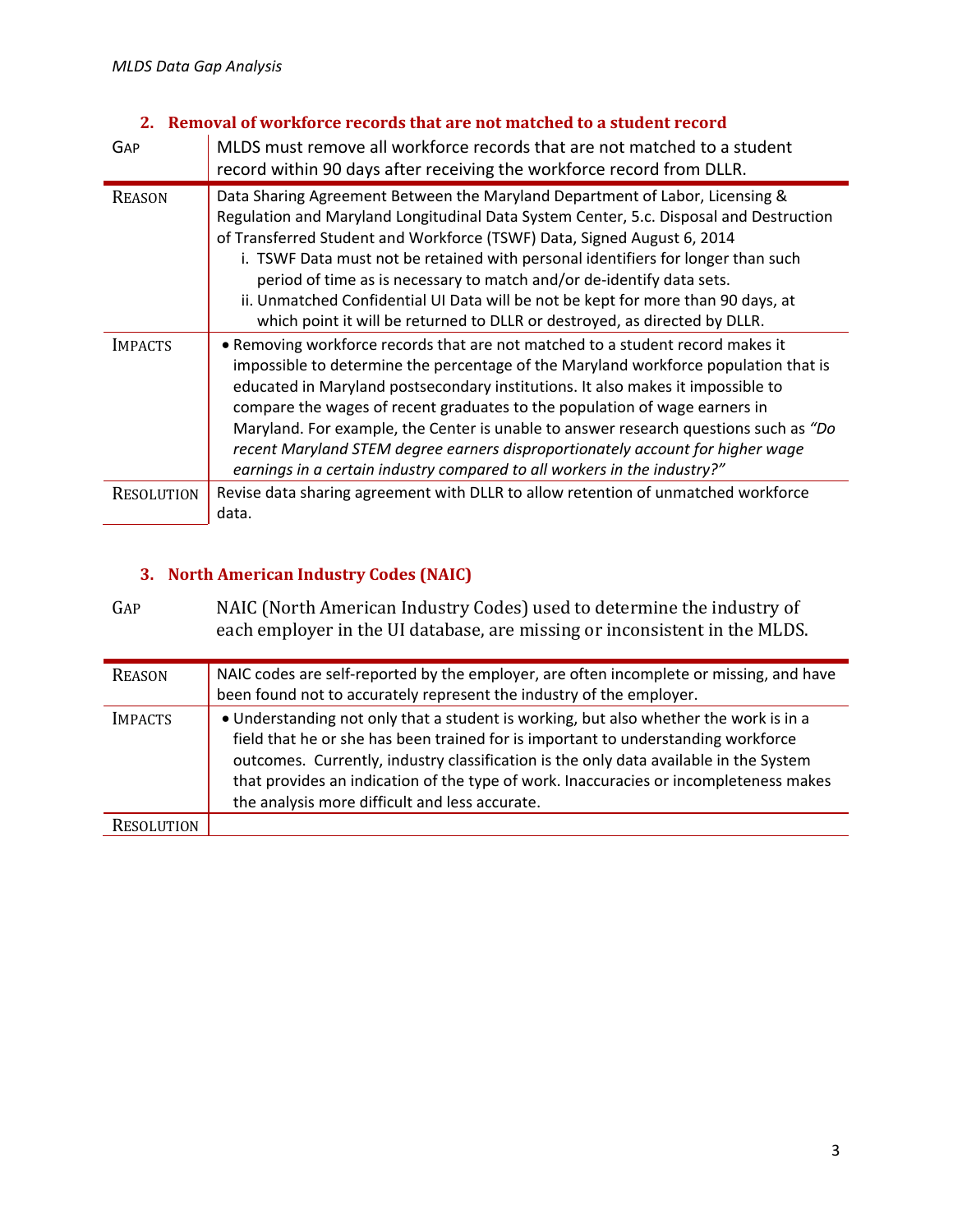### **2. Removal of workforce records that are not matched to a student record**

| GAP               | MLDS must remove all workforce records that are not matched to a student<br>record within 90 days after receiving the workforce record from DLLR.                                                                                                                                                                                                                                                                                                                                                                                                                                            |
|-------------------|----------------------------------------------------------------------------------------------------------------------------------------------------------------------------------------------------------------------------------------------------------------------------------------------------------------------------------------------------------------------------------------------------------------------------------------------------------------------------------------------------------------------------------------------------------------------------------------------|
| <b>REASON</b>     | Data Sharing Agreement Between the Maryland Department of Labor, Licensing &<br>Regulation and Maryland Longitudinal Data System Center, 5.c. Disposal and Destruction<br>of Transferred Student and Workforce (TSWF) Data, Signed August 6, 2014<br>i. TSWF Data must not be retained with personal identifiers for longer than such<br>period of time as is necessary to match and/or de-identify data sets.<br>ii. Unmatched Confidential UI Data will be not be kept for more than 90 days, at<br>which point it will be returned to DLLR or destroyed, as directed by DLLR.             |
| <b>IMPACTS</b>    | • Removing workforce records that are not matched to a student record makes it<br>impossible to determine the percentage of the Maryland workforce population that is<br>educated in Maryland postsecondary institutions. It also makes it impossible to<br>compare the wages of recent graduates to the population of wage earners in<br>Maryland. For example, the Center is unable to answer research questions such as "Do<br>recent Maryland STEM degree earners disproportionately account for higher wage<br>earnings in a certain industry compared to all workers in the industry?" |
| <b>RESOLUTION</b> | Revise data sharing agreement with DLLR to allow retention of unmatched workforce<br>data.                                                                                                                                                                                                                                                                                                                                                                                                                                                                                                   |

## **3. North American Industry Codes (NAIC)**

GAP NAIC (North American Industry Codes) used to determine the industry of each employer in the UI database, are missing or inconsistent in the MLDS.

| <b>REASON</b>  | NAIC codes are self-reported by the employer, are often incomplete or missing, and have<br>been found not to accurately represent the industry of the employer.                                                                                                                                                                                                                                                |
|----------------|----------------------------------------------------------------------------------------------------------------------------------------------------------------------------------------------------------------------------------------------------------------------------------------------------------------------------------------------------------------------------------------------------------------|
| <b>IMPACTS</b> | • Understanding not only that a student is working, but also whether the work is in a<br>field that he or she has been trained for is important to understanding workforce<br>outcomes. Currently, industry classification is the only data available in the System<br>that provides an indication of the type of work. Inaccuracies or incompleteness makes<br>the analysis more difficult and less accurate. |
| RESOLUTION     |                                                                                                                                                                                                                                                                                                                                                                                                                |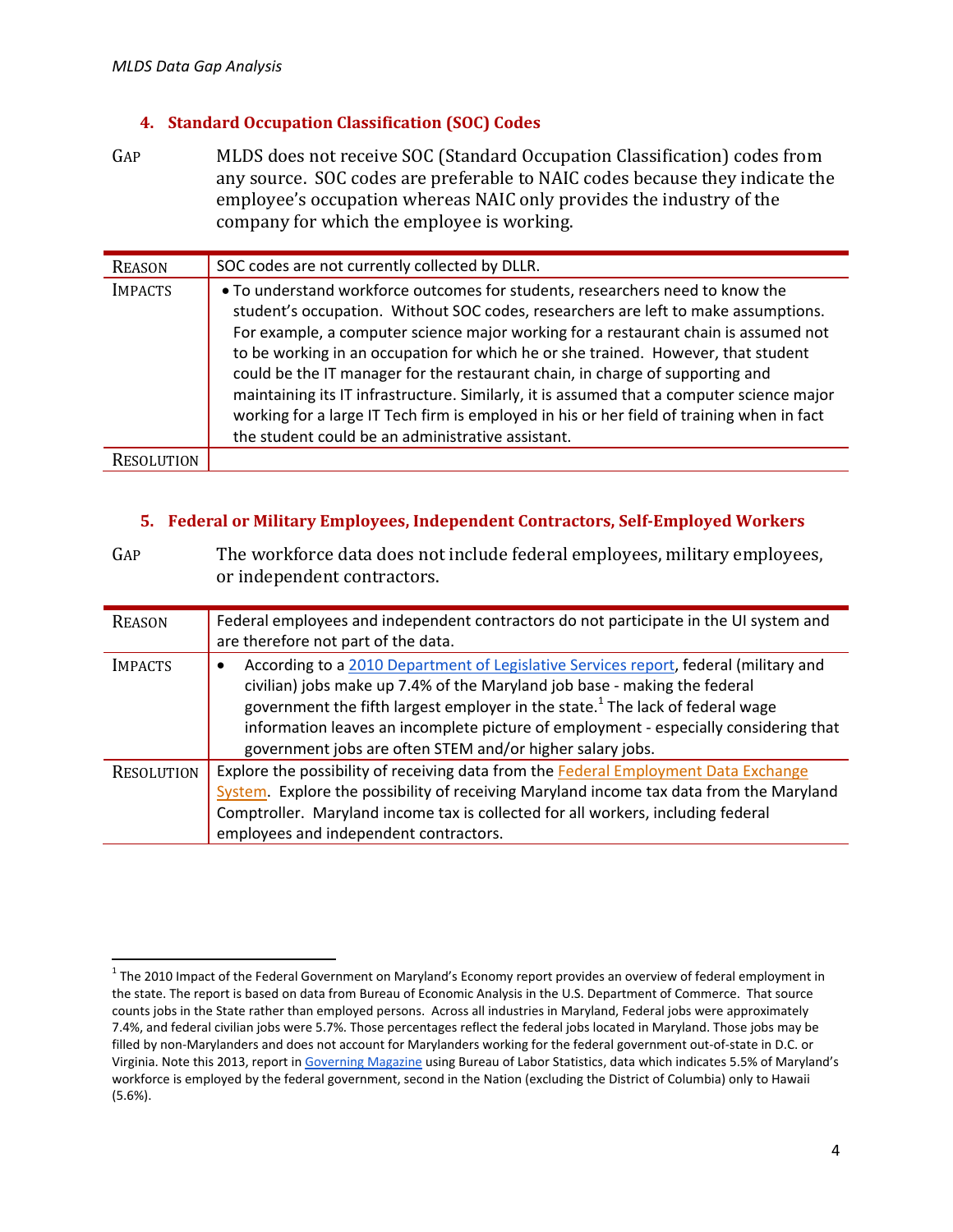### **4. Standard Occupation Classification (SOC) Codes**

GAP MLDS does not receive SOC (Standard Occupation Classification) codes from any source. SOC codes are preferable to NAIC codes because they indicate the employee's occupation whereas NAIC only provides the industry of the company for which the employee is working.

| <b>REASON</b>     | SOC codes are not currently collected by DLLR.                                                                                                                                                                                                                                                                                                                                                                                                                                                                                                                                                                                                                                  |
|-------------------|---------------------------------------------------------------------------------------------------------------------------------------------------------------------------------------------------------------------------------------------------------------------------------------------------------------------------------------------------------------------------------------------------------------------------------------------------------------------------------------------------------------------------------------------------------------------------------------------------------------------------------------------------------------------------------|
| <b>IMPACTS</b>    | • To understand workforce outcomes for students, researchers need to know the<br>student's occupation. Without SOC codes, researchers are left to make assumptions.<br>For example, a computer science major working for a restaurant chain is assumed not<br>to be working in an occupation for which he or she trained. However, that student<br>could be the IT manager for the restaurant chain, in charge of supporting and<br>maintaining its IT infrastructure. Similarly, it is assumed that a computer science major<br>working for a large IT Tech firm is employed in his or her field of training when in fact<br>the student could be an administrative assistant. |
| <b>RESOLUTION</b> |                                                                                                                                                                                                                                                                                                                                                                                                                                                                                                                                                                                                                                                                                 |

### **5. Federal or Military Employees, Independent Contractors, Self‐Employed Workers**

| GAP               | The workforce data does not include federal employees, military employees,<br>or independent contractors.                                                                                                                                                                                                                                                                                                                |
|-------------------|--------------------------------------------------------------------------------------------------------------------------------------------------------------------------------------------------------------------------------------------------------------------------------------------------------------------------------------------------------------------------------------------------------------------------|
| <b>REASON</b>     | Federal employees and independent contractors do not participate in the UI system and<br>are therefore not part of the data.                                                                                                                                                                                                                                                                                             |
| <b>IMPACTS</b>    | According to a 2010 Department of Legislative Services report, federal (military and<br>٠<br>civilian) jobs make up 7.4% of the Maryland job base - making the federal<br>government the fifth largest employer in the state. <sup>1</sup> The lack of federal wage<br>information leaves an incomplete picture of employment - especially considering that<br>government jobs are often STEM and/or higher salary jobs. |
| <b>RESOLUTION</b> | Explore the possibility of receiving data from the Federal Employment Data Exchange<br>System. Explore the possibility of receiving Maryland income tax data from the Maryland<br>Comptroller. Maryland income tax is collected for all workers, including federal<br>employees and independent contractors.                                                                                                             |

 $1$  The 2010 Impact of the Federal Government on Maryland's Economy report provides an overview of federal employment in the state. The report is based on data from Bureau of Economic Analysis in the U.S. Department of Commerce. That source counts jobs in the State rather than employed persons. Across all industries in Maryland, Federal jobs were approximately 7.4%, and federal civilian jobs were 5.7%. Those percentages reflect the federal jobs located in Maryland. Those jobs may be filled by non‐Marylanders and does not account for Marylanders working for the federal government out‐of‐state in D.C. or Virginia. Note this 2013, report in Governing Magazine using Bureau of Labor Statistics, data which indicates 5.5% of Maryland's workforce is employed by the federal government, second in the Nation (excluding the District of Columbia) only to Hawaii (5.6%).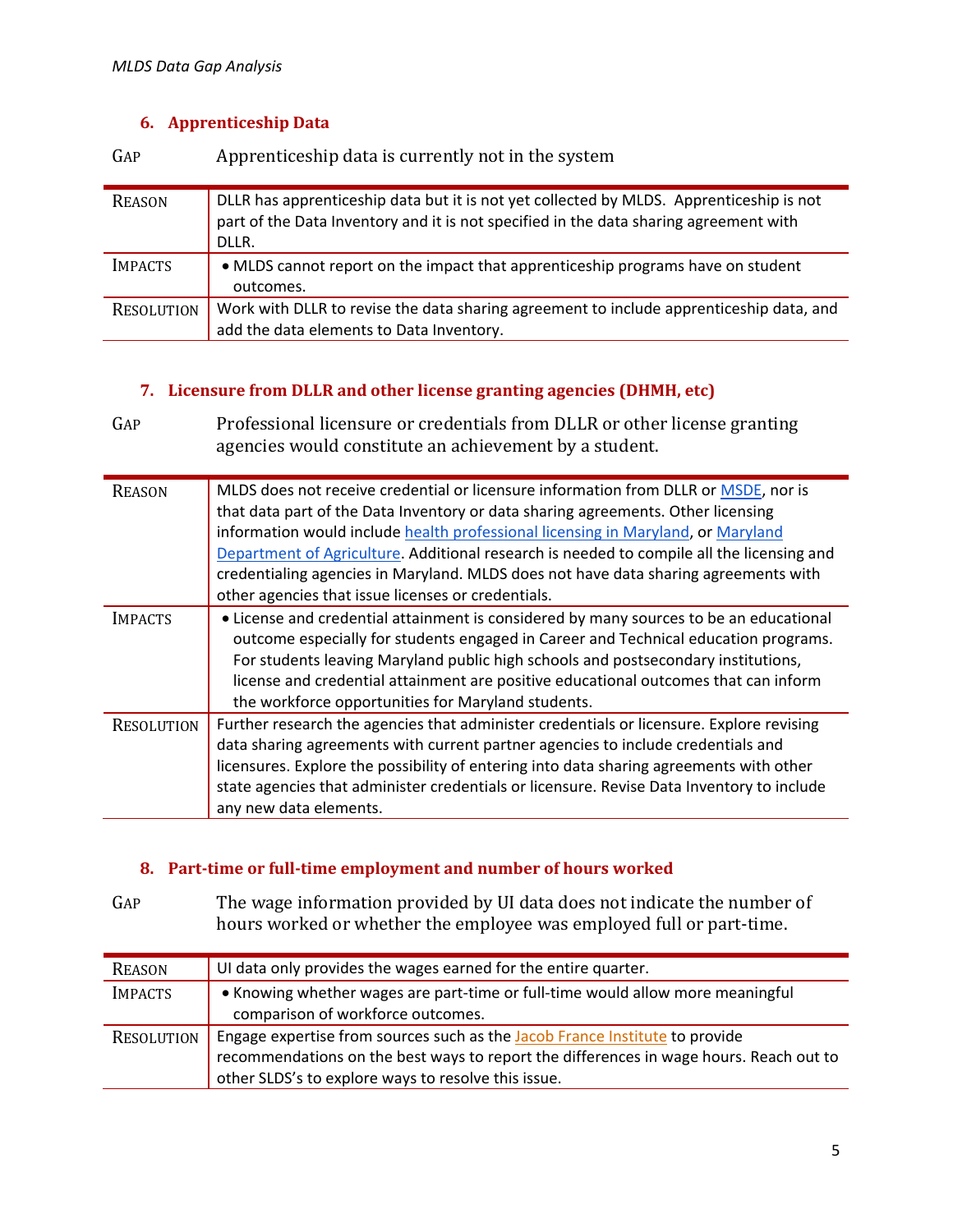### **6. Apprenticeship Data**

GAP Apprenticeship data is currently not in the system

| <b>REASON</b>     | DLLR has apprenticeship data but it is not yet collected by MLDS. Apprenticeship is not<br>part of the Data Inventory and it is not specified in the data sharing agreement with<br>DLLR. |
|-------------------|-------------------------------------------------------------------------------------------------------------------------------------------------------------------------------------------|
| <b>IMPACTS</b>    | • MLDS cannot report on the impact that apprenticeship programs have on student<br>outcomes.                                                                                              |
|                   |                                                                                                                                                                                           |
| <b>RESOLUTION</b> | Work with DLLR to revise the data sharing agreement to include apprenticeship data, and                                                                                                   |
|                   | add the data elements to Data Inventory.                                                                                                                                                  |

### **7. Licensure from DLLR and other license granting agencies (DHMH, etc)**

GAP Professional licensure or credentials from DLLR or other license granting agencies would constitute an achievement by a student.

| <b>REASON</b>     | MLDS does not receive credential or licensure information from DLLR or MSDE, nor is<br>that data part of the Data Inventory or data sharing agreements. Other licensing<br>information would include health professional licensing in Maryland, or Maryland<br>Department of Agriculture. Additional research is needed to compile all the licensing and<br>credentialing agencies in Maryland. MLDS does not have data sharing agreements with<br>other agencies that issue licenses or credentials. |
|-------------------|-------------------------------------------------------------------------------------------------------------------------------------------------------------------------------------------------------------------------------------------------------------------------------------------------------------------------------------------------------------------------------------------------------------------------------------------------------------------------------------------------------|
| <b>IMPACTS</b>    | • License and credential attainment is considered by many sources to be an educational<br>outcome especially for students engaged in Career and Technical education programs.<br>For students leaving Maryland public high schools and postsecondary institutions,<br>license and credential attainment are positive educational outcomes that can inform<br>the workforce opportunities for Maryland students.                                                                                       |
| <b>RESOLUTION</b> | Further research the agencies that administer credentials or licensure. Explore revising<br>data sharing agreements with current partner agencies to include credentials and<br>licensures. Explore the possibility of entering into data sharing agreements with other<br>state agencies that administer credentials or licensure. Revise Data Inventory to include<br>any new data elements.                                                                                                        |

### **8. Part‐time or full‐time employment and number of hours worked**

GAP The wage information provided by UI data does not indicate the number of hours worked or whether the employee was employed full or part-time.

| <b>REASON</b>  | UI data only provides the wages earned for the entire quarter.                                                                                                                                                               |
|----------------|------------------------------------------------------------------------------------------------------------------------------------------------------------------------------------------------------------------------------|
| <b>IMPACTS</b> | • Knowing whether wages are part-time or full-time would allow more meaningful<br>comparison of workforce outcomes.                                                                                                          |
| RESOLUTION     | Engage expertise from sources such as the Jacob France Institute to provide<br>recommendations on the best ways to report the differences in wage hours. Reach out to<br>other SLDS's to explore ways to resolve this issue. |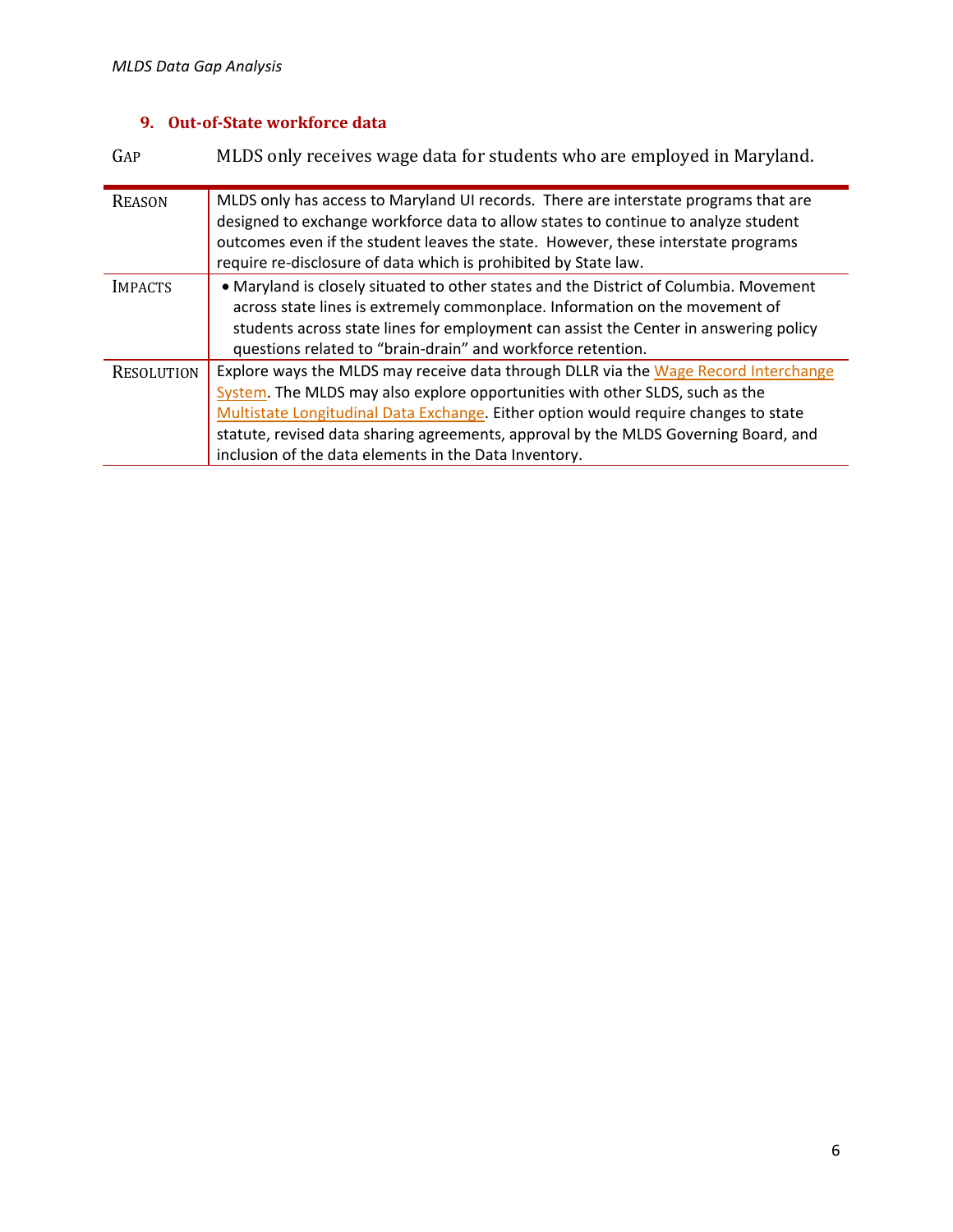### **9. Out‐of‐State workforce data**

GAP MLDS only receives wage data for students who are employed in Maryland. REASON MLDS only has access to Maryland UI records. There are interstate programs that are designed to exchange workforce data to allow states to continue to analyze student outcomes even if the student leaves the state. However, these interstate programs require re-disclosure of data which is prohibited by State law. IMPACTS **COLUT** • Maryland is closely situated to other states and the District of Columbia. Movement across state lines is extremely commonplace. Information on the movement of students across state lines for employment can assist the Center in answering policy questions related to "brain‐drain" and workforce retention. RESOLUTION Explore ways the MLDS may receive data through DLLR via the Wage Record Interchange System. The MLDS may also explore opportunities with other SLDS, such as the Multistate Longitudinal Data Exchange. Either option would require changes to state statute, revised data sharing agreements, approval by the MLDS Governing Board, and inclusion of the data elements in the Data Inventory.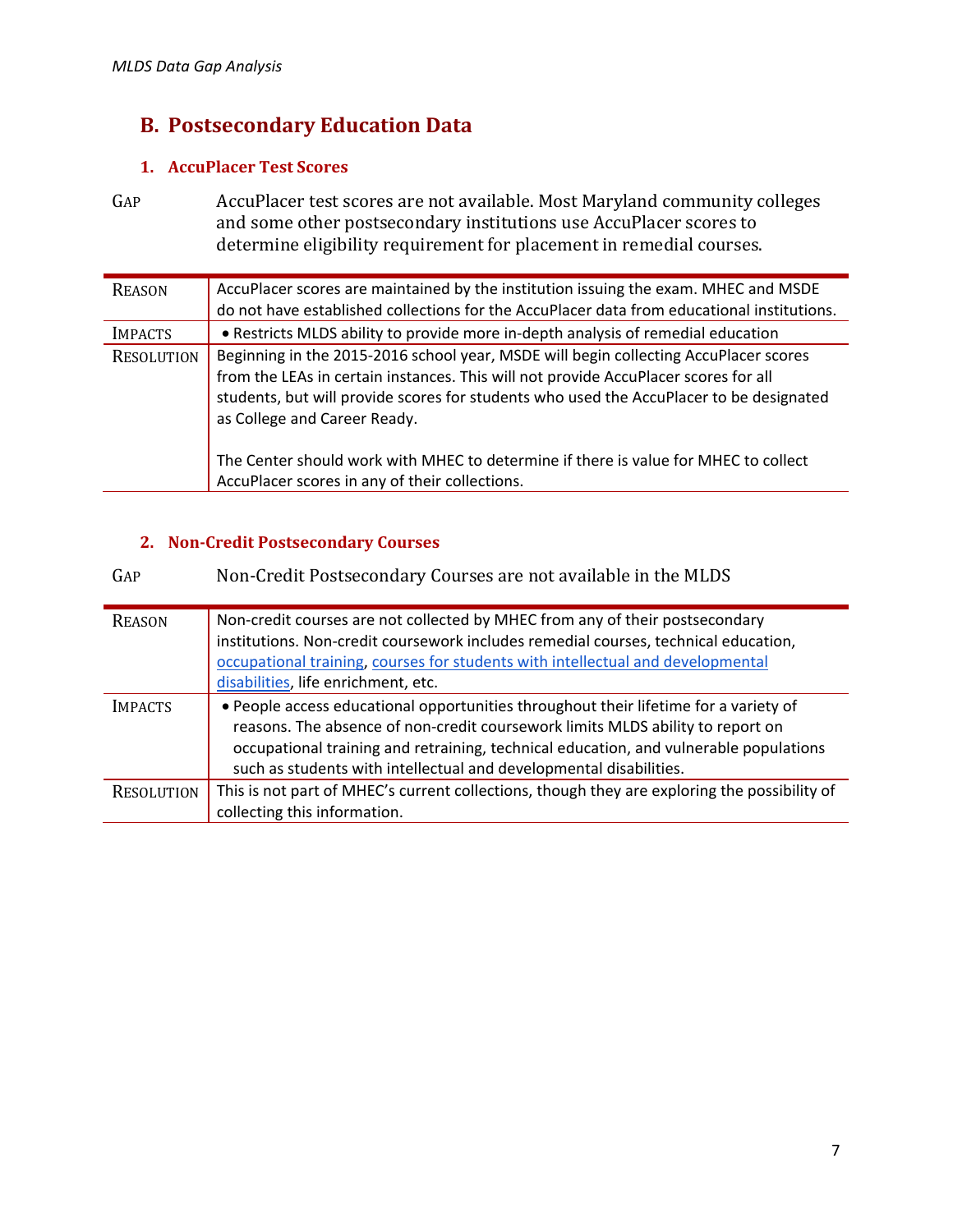# **B. Postsecondary Education Data**

### 1. **AccuPlacer Test Scores**

GAP AccuPlacer test scores are not available. Most Maryland community colleges and some other postsecondary institutions use AccuPlacer scores to determine eligibility requirement for placement in remedial courses.

| <b>REASON</b>     | AccuPlacer scores are maintained by the institution issuing the exam. MHEC and MSDE<br>do not have established collections for the AccuPlacer data from educational institutions.                                                                                                                      |
|-------------------|--------------------------------------------------------------------------------------------------------------------------------------------------------------------------------------------------------------------------------------------------------------------------------------------------------|
| <b>IMPACTS</b>    | • Restricts MLDS ability to provide more in-depth analysis of remedial education                                                                                                                                                                                                                       |
| <b>RESOLUTION</b> | Beginning in the 2015-2016 school year, MSDE will begin collecting AccuPlacer scores<br>from the LEAs in certain instances. This will not provide AccuPlacer scores for all<br>students, but will provide scores for students who used the AccuPlacer to be designated<br>as College and Career Ready. |
|                   | The Center should work with MHEC to determine if there is value for MHEC to collect<br>AccuPlacer scores in any of their collections.                                                                                                                                                                  |

## **2. Non‐Credit Postsecondary Courses**

| GAP            | Non-Credit Postsecondary Courses are not available in the MLDS                                                                                                                                                                                                                                                                        |
|----------------|---------------------------------------------------------------------------------------------------------------------------------------------------------------------------------------------------------------------------------------------------------------------------------------------------------------------------------------|
| <b>REASON</b>  | Non-credit courses are not collected by MHEC from any of their postsecondary<br>institutions. Non-credit coursework includes remedial courses, technical education,<br>occupational training, courses for students with intellectual and developmental<br>disabilities, life enrichment, etc.                                         |
| <b>IMPACTS</b> | . People access educational opportunities throughout their lifetime for a variety of<br>reasons. The absence of non-credit coursework limits MLDS ability to report on<br>occupational training and retraining, technical education, and vulnerable populations<br>such as students with intellectual and developmental disabilities. |
| RESOLUTION     | This is not part of MHEC's current collections, though they are exploring the possibility of<br>collecting this information.                                                                                                                                                                                                          |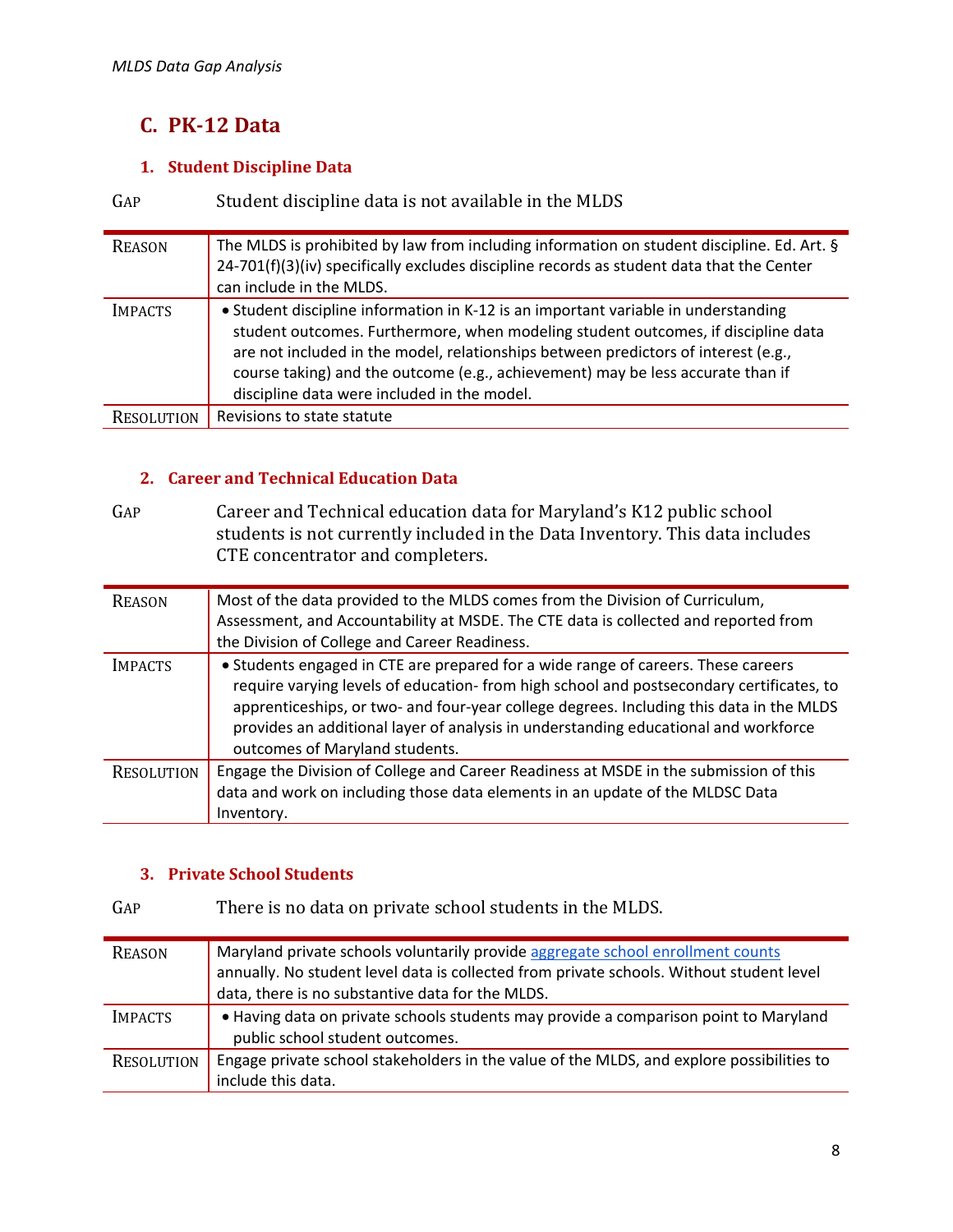# **C. PK‐12 Data**

## **1. Student Discipline Data**

| GAP            | Student discipline data is not available in the MLDS                                                                                                                                                                                                                                                                                                                                            |
|----------------|-------------------------------------------------------------------------------------------------------------------------------------------------------------------------------------------------------------------------------------------------------------------------------------------------------------------------------------------------------------------------------------------------|
| <b>REASON</b>  | The MLDS is prohibited by law from including information on student discipline. Ed. Art. §<br>24-701(f)(3)(iv) specifically excludes discipline records as student data that the Center<br>can include in the MLDS.                                                                                                                                                                             |
| <b>IMPACTS</b> | • Student discipline information in K-12 is an important variable in understanding<br>student outcomes. Furthermore, when modeling student outcomes, if discipline data<br>are not included in the model, relationships between predictors of interest (e.g.,<br>course taking) and the outcome (e.g., achievement) may be less accurate than if<br>discipline data were included in the model. |
| RESOLUTION     | Revisions to state statute                                                                                                                                                                                                                                                                                                                                                                      |

### **2. Career and Technical Education Data**

GAP Career and Technical education data for Maryland's K12 public school students is not currently included in the Data Inventory. This data includes CTE concentrator and completers.

| <b>REASON</b>     | Most of the data provided to the MLDS comes from the Division of Curriculum,<br>Assessment, and Accountability at MSDE. The CTE data is collected and reported from<br>the Division of College and Career Readiness.                                                                                                                                                                              |
|-------------------|---------------------------------------------------------------------------------------------------------------------------------------------------------------------------------------------------------------------------------------------------------------------------------------------------------------------------------------------------------------------------------------------------|
| <b>IMPACTS</b>    | • Students engaged in CTE are prepared for a wide range of careers. These careers<br>require varying levels of education- from high school and postsecondary certificates, to<br>apprenticeships, or two- and four-year college degrees. Including this data in the MLDS<br>provides an additional layer of analysis in understanding educational and workforce<br>outcomes of Maryland students. |
| <b>RESOLUTION</b> | Engage the Division of College and Career Readiness at MSDE in the submission of this<br>data and work on including those data elements in an update of the MLDSC Data<br>Inventory.                                                                                                                                                                                                              |

### **3. Private School Students**

## GAP There is no data on private school students in the MLDS.

| <b>REASON</b>     | Maryland private schools voluntarily provide aggregate school enrollment counts<br>annually. No student level data is collected from private schools. Without student level<br>data, there is no substantive data for the MLDS. |
|-------------------|---------------------------------------------------------------------------------------------------------------------------------------------------------------------------------------------------------------------------------|
| <b>IMPACTS</b>    | • Having data on private schools students may provide a comparison point to Maryland<br>public school student outcomes.                                                                                                         |
| <b>RESOLUTION</b> | Engage private school stakeholders in the value of the MLDS, and explore possibilities to<br>include this data.                                                                                                                 |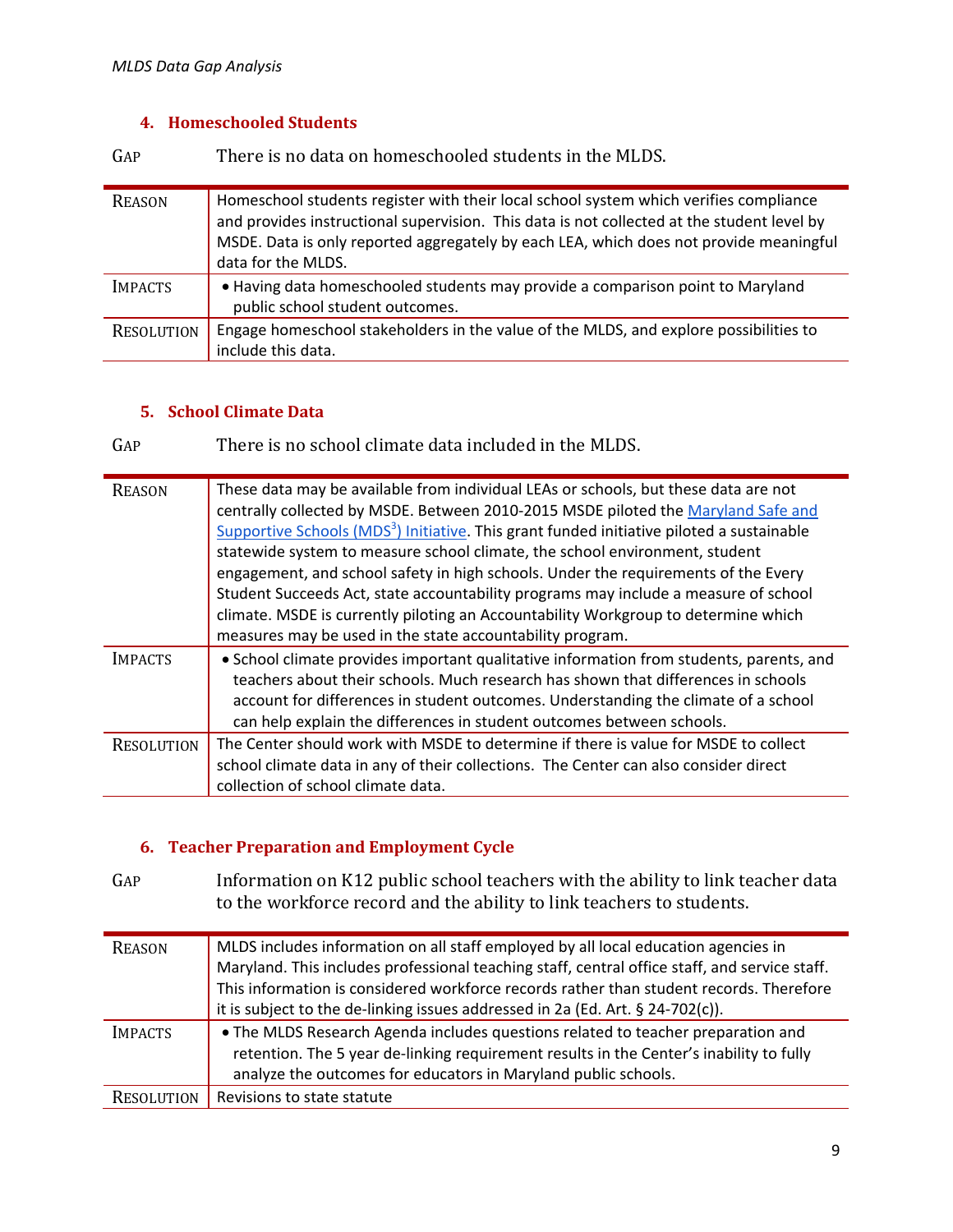## **4. Homeschooled Students**

GAP There is no data on homeschooled students in the MLDS.

| <b>REASON</b>     | Homeschool students register with their local school system which verifies compliance<br>and provides instructional supervision. This data is not collected at the student level by<br>MSDE. Data is only reported aggregately by each LEA, which does not provide meaningful<br>data for the MLDS. |
|-------------------|-----------------------------------------------------------------------------------------------------------------------------------------------------------------------------------------------------------------------------------------------------------------------------------------------------|
| <b>IMPACTS</b>    | • Having data homeschooled students may provide a comparison point to Maryland<br>public school student outcomes.                                                                                                                                                                                   |
| <b>RESOLUTION</b> | Engage homeschool stakeholders in the value of the MLDS, and explore possibilities to<br>include this data.                                                                                                                                                                                         |

## **5. School Climate Data**

GAP There is no school climate data included in the MLDS.

| <b>REASON</b>     | These data may be available from individual LEAs or schools, but these data are not<br>centrally collected by MSDE. Between 2010-2015 MSDE piloted the Maryland Safe and<br>Supportive Schools (MDS <sup>3</sup> ) Initiative. This grant funded initiative piloted a sustainable<br>statewide system to measure school climate, the school environment, student<br>engagement, and school safety in high schools. Under the requirements of the Every<br>Student Succeeds Act, state accountability programs may include a measure of school<br>climate. MSDE is currently piloting an Accountability Workgroup to determine which<br>measures may be used in the state accountability program. |
|-------------------|--------------------------------------------------------------------------------------------------------------------------------------------------------------------------------------------------------------------------------------------------------------------------------------------------------------------------------------------------------------------------------------------------------------------------------------------------------------------------------------------------------------------------------------------------------------------------------------------------------------------------------------------------------------------------------------------------|
| <b>IMPACTS</b>    | • School climate provides important qualitative information from students, parents, and<br>teachers about their schools. Much research has shown that differences in schools<br>account for differences in student outcomes. Understanding the climate of a school<br>can help explain the differences in student outcomes between schools.                                                                                                                                                                                                                                                                                                                                                      |
| <b>RESOLUTION</b> | The Center should work with MSDE to determine if there is value for MSDE to collect<br>school climate data in any of their collections. The Center can also consider direct<br>collection of school climate data.                                                                                                                                                                                                                                                                                                                                                                                                                                                                                |

### **6. Teacher Preparation and Employment Cycle**

GAP Information on K12 public school teachers with the ability to link teacher data to the workforce record and the ability to link teachers to students.

| <b>REASON</b>  | MLDS includes information on all staff employed by all local education agencies in<br>Maryland. This includes professional teaching staff, central office staff, and service staff.<br>This information is considered workforce records rather than student records. Therefore<br>it is subject to the de-linking issues addressed in 2a (Ed. Art. § 24-702(c)). |
|----------------|------------------------------------------------------------------------------------------------------------------------------------------------------------------------------------------------------------------------------------------------------------------------------------------------------------------------------------------------------------------|
| <b>IMPACTS</b> | • The MLDS Research Agenda includes questions related to teacher preparation and<br>retention. The 5 year de-linking requirement results in the Center's inability to fully<br>analyze the outcomes for educators in Maryland public schools.                                                                                                                    |
| RESOLUTION     | Revisions to state statute                                                                                                                                                                                                                                                                                                                                       |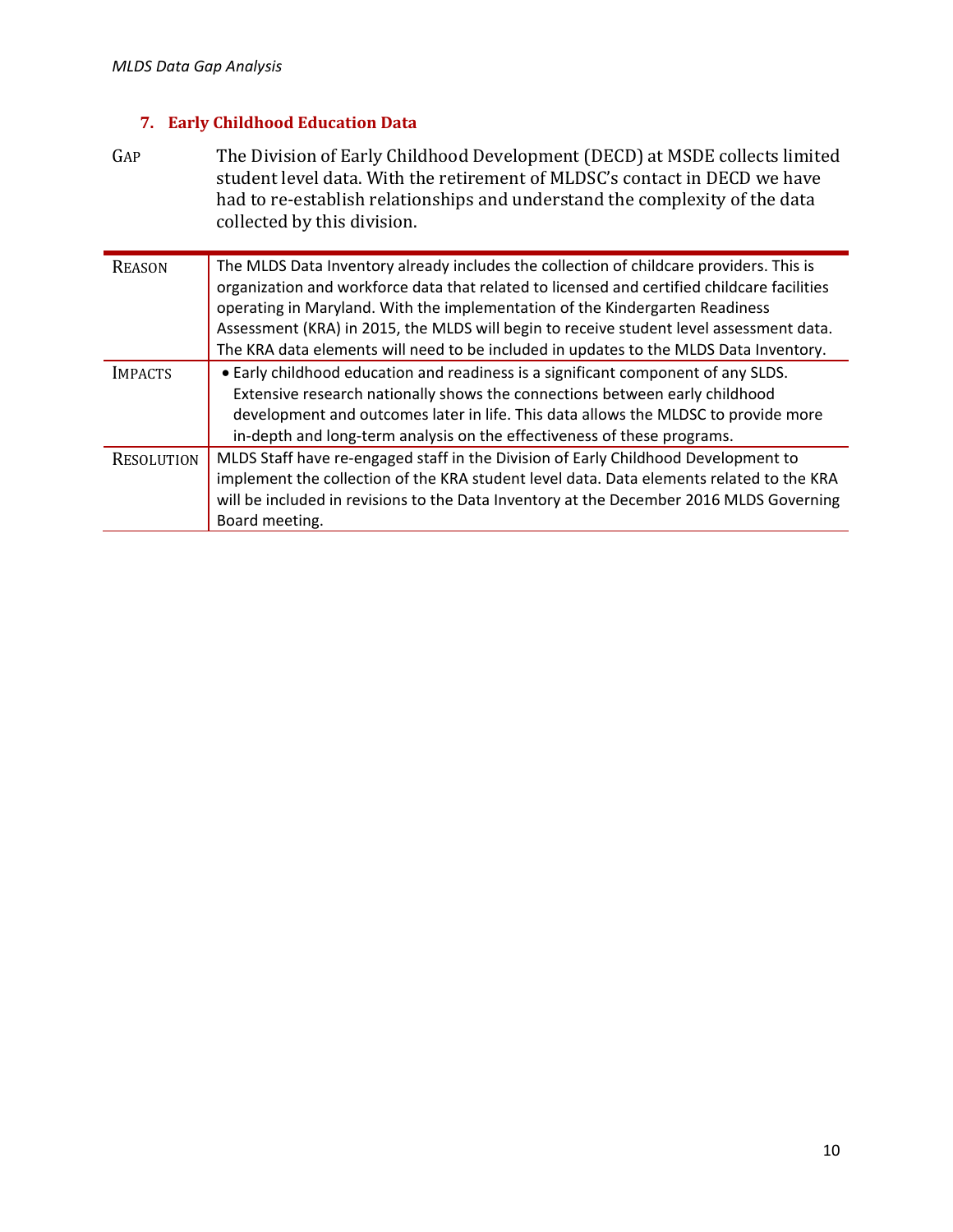## **7. Early Childhood Education Data**

GAP The Division of Early Childhood Development (DECD) at MSDE collects limited student level data. With the retirement of MLDSC's contact in DECD we have had to re-establish relationships and understand the complexity of the data collected by this division.

| <b>REASON</b>     | The MLDS Data Inventory already includes the collection of childcare providers. This is<br>organization and workforce data that related to licensed and certified childcare facilities<br>operating in Maryland. With the implementation of the Kindergarten Readiness<br>Assessment (KRA) in 2015, the MLDS will begin to receive student level assessment data.<br>The KRA data elements will need to be included in updates to the MLDS Data Inventory. |
|-------------------|------------------------------------------------------------------------------------------------------------------------------------------------------------------------------------------------------------------------------------------------------------------------------------------------------------------------------------------------------------------------------------------------------------------------------------------------------------|
| <b>IMPACTS</b>    | • Early childhood education and readiness is a significant component of any SLDS.<br>Extensive research nationally shows the connections between early childhood<br>development and outcomes later in life. This data allows the MLDSC to provide more<br>in-depth and long-term analysis on the effectiveness of these programs.                                                                                                                          |
| <b>RESOLUTION</b> | MLDS Staff have re-engaged staff in the Division of Early Childhood Development to<br>implement the collection of the KRA student level data. Data elements related to the KRA<br>will be included in revisions to the Data Inventory at the December 2016 MLDS Governing<br>Board meeting.                                                                                                                                                                |